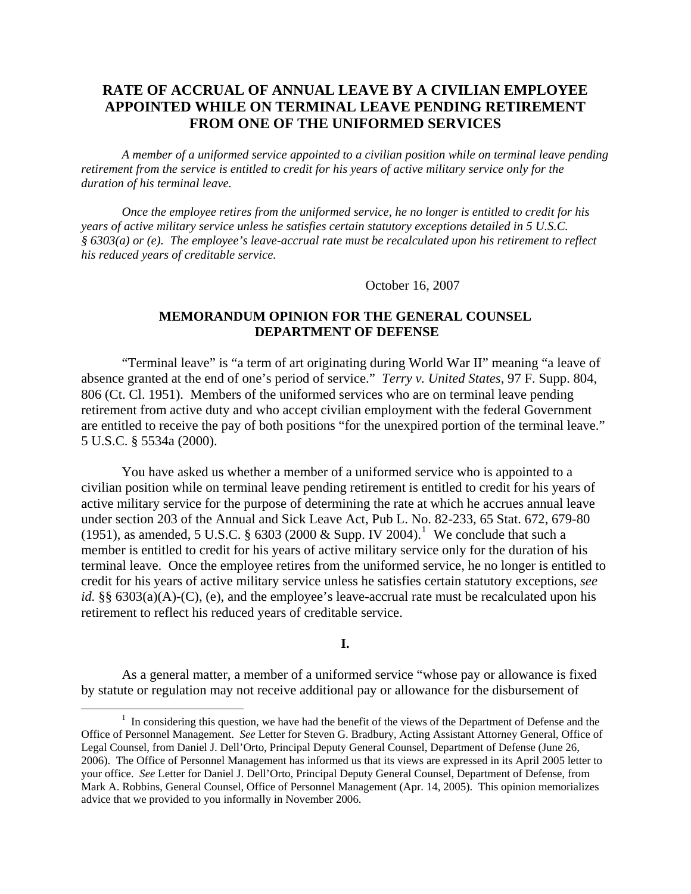# **RATE OF ACCRUAL OF ANNUAL LEAVE BY A CIVILIAN EMPLOYEE APPOINTED WHILE ON TERMINAL LEAVE PENDING RETIREMENT FROM ONE OF THE UNIFORMED SERVICES**

*A member of a uniformed service appointed to a civilian position while on terminal leave pending retirement from the service is entitled to credit for his years of active military service only for the duration of his terminal leave.* 

 *Once the employee retires from the uniformed service, he no longer is entitled to credit for his years of active military service unless he satisfies certain statutory exceptions detailed in 5 U.S.C. § 6303(a) or (e). The employee's leave-accrual rate must be recalculated upon his retirement to reflect his reduced years of creditable service.* 

October 16, 2007

# **MEMORANDUM OPINION FOR THE GENERAL COUNSEL DEPARTMENT OF DEFENSE**

"Terminal leave" is "a term of art originating during World War II" meaning "a leave of absence granted at the end of one's period of service." *Terry v. United States*, 97 F. Supp. 804, 806 (Ct. Cl. 1951). Members of the uniformed services who are on terminal leave pending retirement from active duty and who accept civilian employment with the federal Government are entitled to receive the pay of both positions "for the unexpired portion of the terminal leave." 5 U.S.C. § 5534a (2000).

You have asked us whether a member of a uniformed service who is appointed to a civilian position while on terminal leave pending retirement is entitled to credit for his years of active military service for the purpose of determining the rate at which he accrues annual leave under section 203 of the Annual and Sick Leave Act, Pub L. No. 82-233, 65 Stat. 672, 679-80 ([1](#page-0-0)951), as amended, 5 U.S.C. § 6303 (2000 & Supp. IV 2004).<sup>1</sup> We conclude that such a member is entitled to credit for his years of active military service only for the duration of his terminal leave. Once the employee retires from the uniformed service, he no longer is entitled to credit for his years of active military service unless he satisfies certain statutory exceptions, *see id.* §§ 6303(a)(A)-(C), (e), and the employee's leave-accrual rate must be recalculated upon his retirement to reflect his reduced years of creditable service.

### **I.**

As a general matter, a member of a uniformed service "whose pay or allowance is fixed by statute or regulation may not receive additional pay or allowance for the disbursement of

<span id="page-0-0"></span><sup>&</sup>lt;u>1</u>  $<sup>1</sup>$  In considering this question, we have had the benefit of the views of the Department of Defense and the</sup> Office of Personnel Management. *See* Letter for Steven G. Bradbury, Acting Assistant Attorney General, Office of Legal Counsel, from Daniel J. Dell'Orto, Principal Deputy General Counsel, Department of Defense (June 26, 2006). The Office of Personnel Management has informed us that its views are expressed in its April 2005 letter to your office. *See* Letter for Daniel J. Dell'Orto, Principal Deputy General Counsel, Department of Defense, from Mark A. Robbins, General Counsel, Office of Personnel Management (Apr. 14, 2005). This opinion memorializes advice that we provided to you informally in November 2006.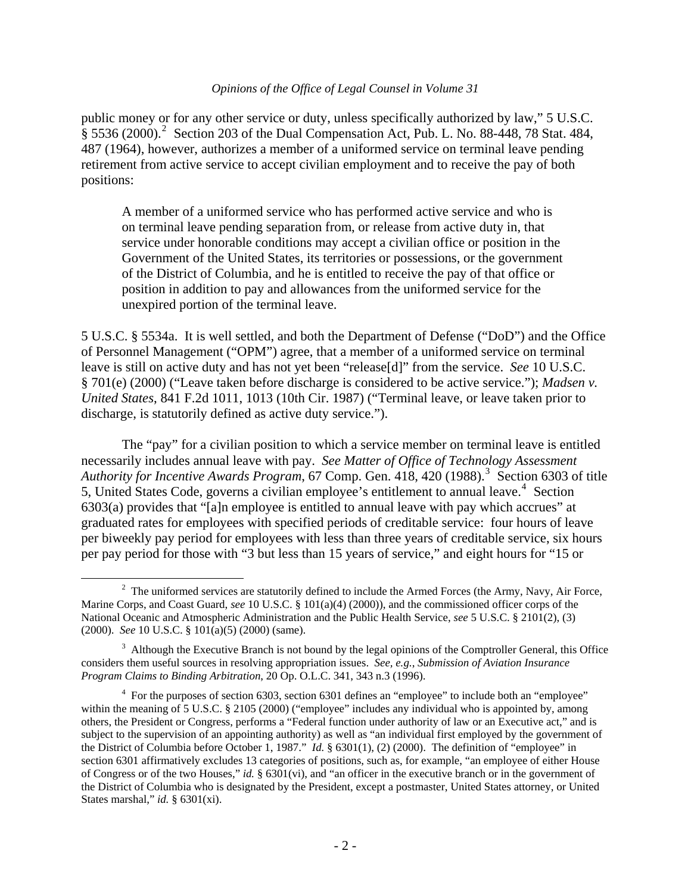public money or for any other service or duty, unless specifically authorized by law," 5 U.S.C.  $\frac{2}{3}$  $\frac{2}{3}$  $\frac{2}{3}$  5536 (2000).<sup>2</sup> Section 203 of the Dual Compensation Act, Pub. L. No. 88-448, 78 Stat. 484, 487 (1964), however, authorizes a member of a uniformed service on terminal leave pending retirement from active service to accept civilian employment and to receive the pay of both positions:

A member of a uniformed service who has performed active service and who is on terminal leave pending separation from, or release from active duty in, that service under honorable conditions may accept a civilian office or position in the Government of the United States, its territories or possessions, or the government of the District of Columbia, and he is entitled to receive the pay of that office or position in addition to pay and allowances from the uniformed service for the unexpired portion of the terminal leave.

5 U.S.C. § 5534a. It is well settled, and both the Department of Defense ("DoD") and the Office of Personnel Management ("OPM") agree, that a member of a uniformed service on terminal leave is still on active duty and has not yet been "release[d]" from the service. *See* 10 U.S.C. § 701(e) (2000) ("Leave taken before discharge is considered to be active service."); *Madsen v. United States*, 841 F.2d 1011, 1013 (10th Cir. 1987) ("Terminal leave, or leave taken prior to discharge, is statutorily defined as active duty service.").

The "pay" for a civilian position to which a service member on terminal leave is entitled necessarily includes annual leave with pay. *See Matter of Office of Technology Assessment*  Authority for Incentive Awards Program, 67 Comp. Gen. 418, 420 (1988).<sup>[3](#page-1-1)</sup> Section 6303 of title 5, United States Code, governs a civilian employee's entitlement to annual leave.<sup>[4](#page-1-2)</sup> Section 6303(a) provides that "[a]n employee is entitled to annual leave with pay which accrues" at graduated rates for employees with specified periods of creditable service: four hours of leave per biweekly pay period for employees with less than three years of creditable service, six hours per pay period for those with "3 but less than 15 years of service," and eight hours for "15 or

<span id="page-1-0"></span> $2$  The uniformed services are statutorily defined to include the Armed Forces (the Army, Navy, Air Force, Marine Corps, and Coast Guard, *see* 10 U.S.C. § 101(a)(4) (2000)), and the commissioned officer corps of the National Oceanic and Atmospheric Administration and the Public Health Service, *see* 5 U.S.C. § 2101(2), (3) (2000). *See* 10 U.S.C. § 101(a)(5) (2000) (same).

<span id="page-1-1"></span> $3$  Although the Executive Branch is not bound by the legal opinions of the Comptroller General, this Office considers them useful sources in resolving appropriation issues. *See, e.g.*, *Submission of Aviation Insurance Program Claims to Binding Arbitration*, 20 Op. O.L.C. 341, 343 n.3 (1996).

<span id="page-1-2"></span><sup>&</sup>lt;sup>4</sup> For the purposes of section 6303, section 6301 defines an "employee" to include both an "employee" within the meaning of 5 U.S.C. § 2105 (2000) ("employee" includes any individual who is appointed by, among others, the President or Congress, performs a "Federal function under authority of law or an Executive act," and is subject to the supervision of an appointing authority) as well as "an individual first employed by the government of the District of Columbia before October 1, 1987." *Id.* § 6301(1), (2) (2000). The definition of "employee" in section 6301 affirmatively excludes 13 categories of positions, such as, for example, "an employee of either House of Congress or of the two Houses," *id.* § 6301(vi), and "an officer in the executive branch or in the government of the District of Columbia who is designated by the President, except a postmaster, United States attorney, or United States marshal," *id.* § 6301(xi).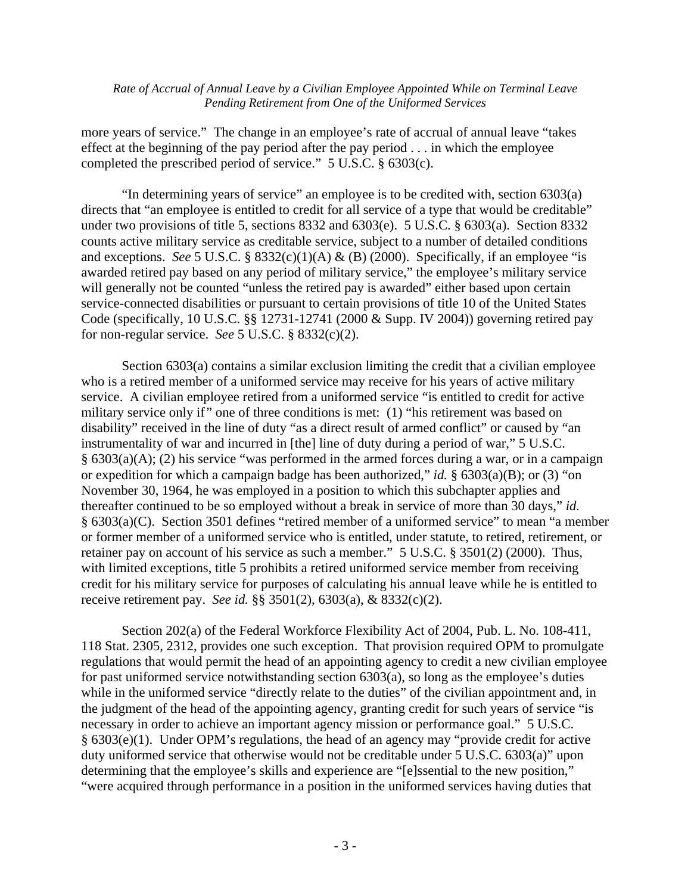more years of service." The change in an employee's rate of accrual of annual leave "takes effect at the beginning of the pay period after the pay period . . . in which the employee completed the prescribed period of service." 5 U.S.C. § 6303(c).

"In determining years of service" an employee is to be credited with, section 6303(a) directs that "an employee is entitled to credit for all service of a type that would be creditable" under two provisions of title 5, sections 8332 and 6303(e). 5 U.S.C. § 6303(a). Section 8332 counts active military service as creditable service, subject to a number of detailed conditions and exceptions. *See* 5 U.S.C. § 8332(c)(1)(A) & (B) (2000). Specifically, if an employee "is awarded retired pay based on any period of military service," the employee's military service will generally not be counted "unless the retired pay is awarded" either based upon certain service-connected disabilities or pursuant to certain provisions of title 10 of the United States Code (specifically, 10 U.S.C. §§ 12731-12741 (2000 & Supp. IV 2004)) governing retired pay for non-regular service. *See* 5 U.S.C. § 8332(c)(2).

Section 6303(a) contains a similar exclusion limiting the credit that a civilian employee who is a retired member of a uniformed service may receive for his years of active military service. A civilian employee retired from a uniformed service "is entitled to credit for active military service only if" one of three conditions is met: (1) "his retirement was based on disability" received in the line of duty "as a direct result of armed conflict" or caused by "an instrumentality of war and incurred in [the] line of duty during a period of war," 5 U.S.C. § 6303(a)(A); (2) his service "was performed in the armed forces during a war, or in a campaign or expedition for which a campaign badge has been authorized," *id.* § 6303(a)(B); or (3) "on November 30, 1964, he was employed in a position to which this subchapter applies and thereafter continued to be so employed without a break in service of more than 30 days," *id.* § 6303(a)(C). Section 3501 defines "retired member of a uniformed service" to mean "a member or former member of a uniformed service who is entitled, under statute, to retired, retirement, or retainer pay on account of his service as such a member." 5 U.S.C. § 3501(2) (2000). Thus, with limited exceptions, title 5 prohibits a retired uniformed service member from receiving credit for his military service for purposes of calculating his annual leave while he is entitled to receive retirement pay. *See id.* §§ 3501(2), 6303(a), & 8332(c)(2).

Section 202(a) of the Federal Workforce Flexibility Act of 2004, Pub. L. No. 108-411, 118 Stat. 2305, 2312, provides one such exception. That provision required OPM to promulgate regulations that would permit the head of an appointing agency to credit a new civilian employee for past uniformed service notwithstanding section 6303(a), so long as the employee's duties while in the uniformed service "directly relate to the duties" of the civilian appointment and, in the judgment of the head of the appointing agency, granting credit for such years of service "is necessary in order to achieve an important agency mission or performance goal." 5 U.S.C. § 6303(e)(1). Under OPM's regulations, the head of an agency may "provide credit for active duty uniformed service that otherwise would not be creditable under 5 U.S.C. 6303(a)" upon determining that the employee's skills and experience are "[e]ssential to the new position," "were acquired through performance in a position in the uniformed services having duties that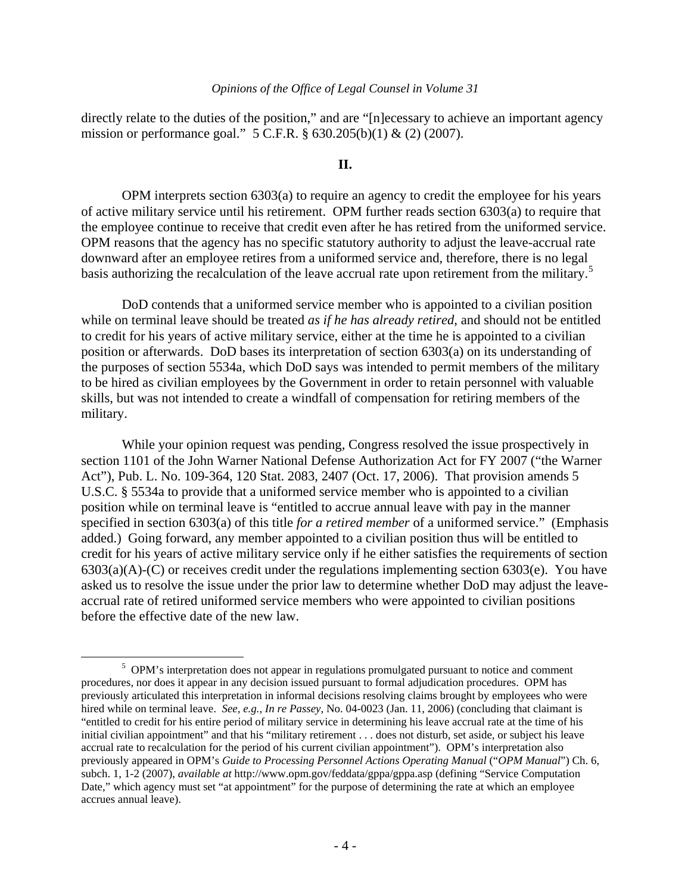directly relate to the duties of the position," and are "[n]ecessary to achieve an important agency mission or performance goal." 5 C.F.R. § 630.205(b)(1) & (2) (2007).

### **II.**

OPM interprets section 6303(a) to require an agency to credit the employee for his years of active military service until his retirement. OPM further reads section 6303(a) to require that the employee continue to receive that credit even after he has retired from the uniformed service. OPM reasons that the agency has no specific statutory authority to adjust the leave-accrual rate downward after an employee retires from a uniformed service and, therefore, there is no legal basis authorizing the recalculation of the leave accrual rate upon retirement from the military.<sup>[5](#page-3-0)</sup>

DoD contends that a uniformed service member who is appointed to a civilian position while on terminal leave should be treated *as if he has already retired*, and should not be entitled to credit for his years of active military service, either at the time he is appointed to a civilian position or afterwards. DoD bases its interpretation of section 6303(a) on its understanding of the purposes of section 5534a, which DoD says was intended to permit members of the military to be hired as civilian employees by the Government in order to retain personnel with valuable skills, but was not intended to create a windfall of compensation for retiring members of the military.

While your opinion request was pending, Congress resolved the issue prospectively in section 1101 of the John Warner National Defense Authorization Act for FY 2007 ("the Warner Act"), Pub. L. No. 109-364, 120 Stat. 2083, 2407 (Oct. 17, 2006). That provision amends 5 U.S.C. § 5534a to provide that a uniformed service member who is appointed to a civilian position while on terminal leave is "entitled to accrue annual leave with pay in the manner specified in section 6303(a) of this title *for a retired member* of a uniformed service." (Emphasis added.) Going forward, any member appointed to a civilian position thus will be entitled to credit for his years of active military service only if he either satisfies the requirements of section  $6303(a)(A)-(C)$  or receives credit under the regulations implementing section  $6303(e)$ . You have asked us to resolve the issue under the prior law to determine whether DoD may adjust the leaveaccrual rate of retired uniformed service members who were appointed to civilian positions before the effective date of the new law.

<span id="page-3-0"></span><sup>&</sup>lt;sup>5</sup> OPM's interpretation does not appear in regulations promulgated pursuant to notice and comment procedures, nor does it appear in any decision issued pursuant to formal adjudication procedures. OPM has previously articulated this interpretation in informal decisions resolving claims brought by employees who were hired while on terminal leave. *See, e.g.*, *In re Passey*, No. 04-0023 (Jan. 11, 2006) (concluding that claimant is "entitled to credit for his entire period of military service in determining his leave accrual rate at the time of his initial civilian appointment" and that his "military retirement . . . does not disturb, set aside, or subject his leave accrual rate to recalculation for the period of his current civilian appointment"). OPM's interpretation also previously appeared in OPM's *Guide to Processing Personnel Actions Operating Manual* ("*OPM Manual*") Ch. 6, subch. 1, 1-2 (2007), *available at* http://www.opm.gov/feddata/gppa/gppa.asp (defining "Service Computation Date," which agency must set "at appointment" for the purpose of determining the rate at which an employee accrues annual leave).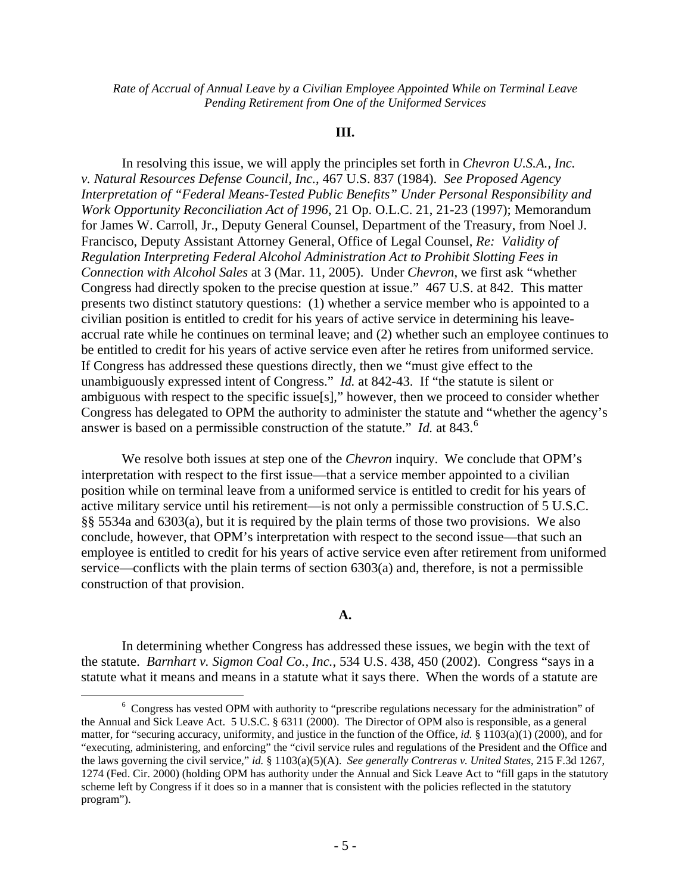### **III.**

In resolving this issue, we will apply the principles set forth in *Chevron U.S.A., Inc. v. Natural Resources Defense Council, Inc.*, 467 U.S. 837 (1984). *See Proposed Agency Interpretation of "Federal Means-Tested Public Benefits" Under Personal Responsibility and Work Opportunity Reconciliation Act of 1996*, 21 Op. O.L.C. 21, 21-23 (1997); Memorandum for James W. Carroll, Jr., Deputy General Counsel, Department of the Treasury, from Noel J. Francisco, Deputy Assistant Attorney General, Office of Legal Counsel, *Re: Validity of Regulation Interpreting Federal Alcohol Administration Act to Prohibit Slotting Fees in Connection with Alcohol Sales* at 3 (Mar. 11, 2005). Under *Chevron*, we first ask "whether Congress had directly spoken to the precise question at issue." 467 U.S. at 842. This matter presents two distinct statutory questions: (1) whether a service member who is appointed to a civilian position is entitled to credit for his years of active service in determining his leaveaccrual rate while he continues on terminal leave; and (2) whether such an employee continues to be entitled to credit for his years of active service even after he retires from uniformed service. If Congress has addressed these questions directly, then we "must give effect to the unambiguously expressed intent of Congress." *Id.* at 842-43. If "the statute is silent or ambiguous with respect to the specific issue[s]," however, then we proceed to consider whether Congress has delegated to OPM the authority to administer the statute and "whether the agency's answer is based on a permissible construction of the statute." *Id.* at 843.<sup>[6](#page-4-0)</sup>

We resolve both issues at step one of the *Chevron* inquiry. We conclude that OPM's interpretation with respect to the first issue—that a service member appointed to a civilian position while on terminal leave from a uniformed service is entitled to credit for his years of active military service until his retirement—is not only a permissible construction of 5 U.S.C. §§ 5534a and 6303(a), but it is required by the plain terms of those two provisions. We also conclude, however, that OPM's interpretation with respect to the second issue—that such an employee is entitled to credit for his years of active service even after retirement from uniformed service—conflicts with the plain terms of section 6303(a) and, therefore, is not a permissible construction of that provision.

# **A.**

In determining whether Congress has addressed these issues, we begin with the text of the statute. *Barnhart v. Sigmon Coal Co., Inc.*, 534 U.S. 438, 450 (2002). Congress "says in a statute what it means and means in a statute what it says there. When the words of a statute are

<span id="page-4-0"></span><sup>&</sup>lt;sup>6</sup> Congress has vested OPM with authority to "prescribe regulations necessary for the administration" of the Annual and Sick Leave Act. 5 U.S.C. § 6311 (2000). The Director of OPM also is responsible, as a general matter, for "securing accuracy, uniformity, and justice in the function of the Office, *id.* § 1103(a)(1) (2000), and for "executing, administering, and enforcing" the "civil service rules and regulations of the President and the Office and the laws governing the civil service," *id.* § 1103(a)(5)(A). *See generally Contreras v. United States*, 215 F.3d 1267, 1274 (Fed. Cir. 2000) (holding OPM has authority under the Annual and Sick Leave Act to "fill gaps in the statutory scheme left by Congress if it does so in a manner that is consistent with the policies reflected in the statutory program").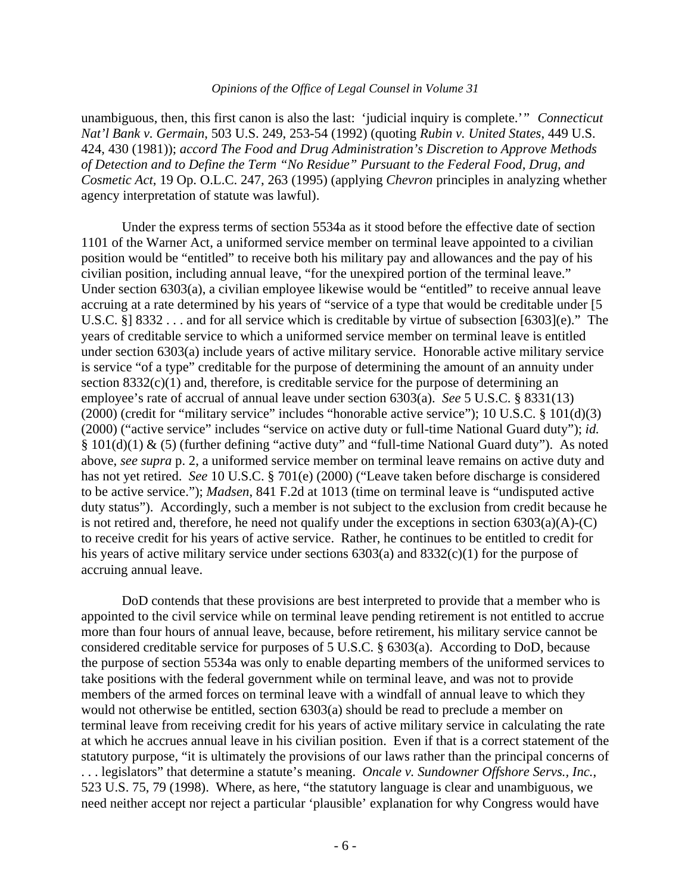unambiguous, then, this first canon is also the last: 'judicial inquiry is complete.'" *Connecticut Nat'l Bank v. Germain*, 503 U.S. 249, 253-54 (1992) (quoting *Rubin v. United States*, 449 U.S. 424, 430 (1981)); *accord The Food and Drug Administration's Discretion to Approve Methods of Detection and to Define the Term "No Residue" Pursuant to the Federal Food, Drug, and Cosmetic Act*, 19 Op. O.L.C. 247, 263 (1995) (applying *Chevron* principles in analyzing whether agency interpretation of statute was lawful).

Under the express terms of section 5534a as it stood before the effective date of section 1101 of the Warner Act, a uniformed service member on terminal leave appointed to a civilian position would be "entitled" to receive both his military pay and allowances and the pay of his civilian position, including annual leave, "for the unexpired portion of the terminal leave." Under section 6303(a), a civilian employee likewise would be "entitled" to receive annual leave accruing at a rate determined by his years of "service of a type that would be creditable under [5 U.S.C. §] 8332 . . . and for all service which is creditable by virtue of subsection [6303](e)." The years of creditable service to which a uniformed service member on terminal leave is entitled under section 6303(a) include years of active military service. Honorable active military service is service "of a type" creditable for the purpose of determining the amount of an annuity under section  $8332(c)(1)$  and, therefore, is creditable service for the purpose of determining an employee's rate of accrual of annual leave under section 6303(a). *See* 5 U.S.C. § 8331(13) (2000) (credit for "military service" includes "honorable active service"); 10 U.S.C. § 101(d)(3) (2000) ("active service" includes "service on active duty or full-time National Guard duty"); *id.* § 101(d)(1) & (5) (further defining "active duty" and "full-time National Guard duty"). As noted above, *see supra* p. 2, a uniformed service member on terminal leave remains on active duty and has not yet retired. *See* 10 U.S.C. § 701(e) (2000) ("Leave taken before discharge is considered to be active service."); *Madsen*, 841 F.2d at 1013 (time on terminal leave is "undisputed active duty status"). Accordingly, such a member is not subject to the exclusion from credit because he is not retired and, therefore, he need not qualify under the exceptions in section  $6303(a)(A)-(C)$ to receive credit for his years of active service. Rather, he continues to be entitled to credit for his years of active military service under sections 6303(a) and 8332(c)(1) for the purpose of accruing annual leave.

DoD contends that these provisions are best interpreted to provide that a member who is appointed to the civil service while on terminal leave pending retirement is not entitled to accrue more than four hours of annual leave, because, before retirement, his military service cannot be considered creditable service for purposes of 5 U.S.C. § 6303(a). According to DoD, because the purpose of section 5534a was only to enable departing members of the uniformed services to take positions with the federal government while on terminal leave, and was not to provide members of the armed forces on terminal leave with a windfall of annual leave to which they would not otherwise be entitled, section 6303(a) should be read to preclude a member on terminal leave from receiving credit for his years of active military service in calculating the rate at which he accrues annual leave in his civilian position. Even if that is a correct statement of the statutory purpose, "it is ultimately the provisions of our laws rather than the principal concerns of . . . legislators" that determine a statute's meaning. *Oncale v. Sundowner Offshore Servs., Inc.*, 523 U.S. 75, 79 (1998). Where, as here, "the statutory language is clear and unambiguous, we need neither accept nor reject a particular 'plausible' explanation for why Congress would have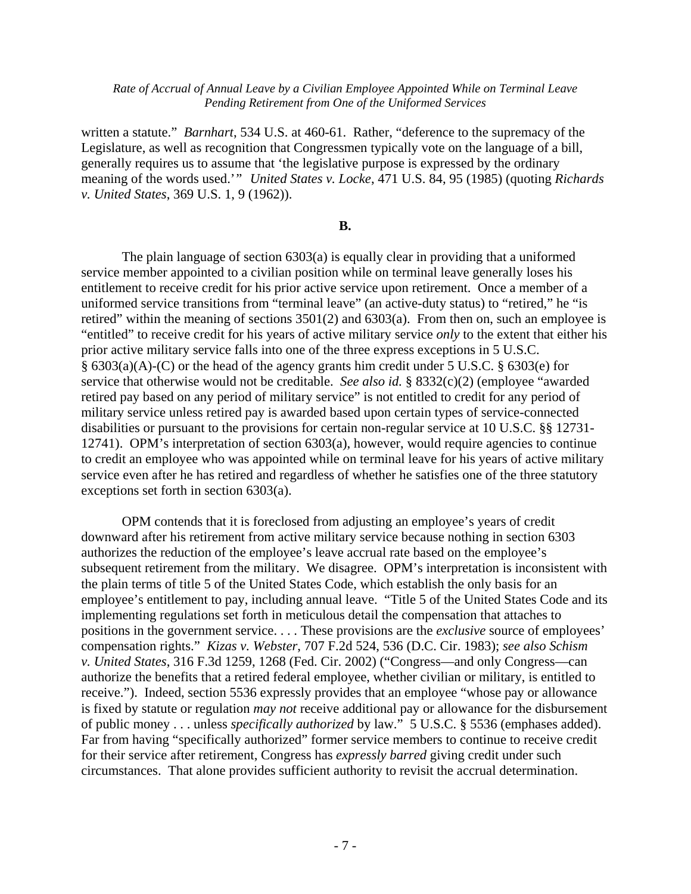written a statute." *Barnhart*, 534 U.S. at 460-61. Rather, "deference to the supremacy of the Legislature, as well as recognition that Congressmen typically vote on the language of a bill, generally requires us to assume that 'the legislative purpose is expressed by the ordinary meaning of the words used.'" *United States v. Locke*, 471 U.S. 84, 95 (1985) (quoting *Richards v. United States*, 369 U.S. 1, 9 (1962)).

# **B.**

The plain language of section 6303(a) is equally clear in providing that a uniformed service member appointed to a civilian position while on terminal leave generally loses his entitlement to receive credit for his prior active service upon retirement. Once a member of a uniformed service transitions from "terminal leave" (an active-duty status) to "retired," he "is retired" within the meaning of sections 3501(2) and 6303(a). From then on, such an employee is "entitled" to receive credit for his years of active military service *only* to the extent that either his prior active military service falls into one of the three express exceptions in 5 U.S.C. § 6303(a)(A)-(C) or the head of the agency grants him credit under 5 U.S.C. § 6303(e) for service that otherwise would not be creditable. *See also id.* § 8332(c)(2) (employee "awarded retired pay based on any period of military service" is not entitled to credit for any period of military service unless retired pay is awarded based upon certain types of service-connected disabilities or pursuant to the provisions for certain non-regular service at 10 U.S.C. §§ 12731- 12741). OPM's interpretation of section 6303(a), however, would require agencies to continue to credit an employee who was appointed while on terminal leave for his years of active military service even after he has retired and regardless of whether he satisfies one of the three statutory exceptions set forth in section 6303(a).

OPM contends that it is foreclosed from adjusting an employee's years of credit downward after his retirement from active military service because nothing in section 6303 authorizes the reduction of the employee's leave accrual rate based on the employee's subsequent retirement from the military. We disagree. OPM's interpretation is inconsistent with the plain terms of title 5 of the United States Code, which establish the only basis for an employee's entitlement to pay, including annual leave. "Title 5 of the United States Code and its implementing regulations set forth in meticulous detail the compensation that attaches to positions in the government service. . . . These provisions are the *exclusive* source of employees' compensation rights." *Kizas v. Webster*, 707 F.2d 524, 536 (D.C. Cir. 1983); *see also Schism v. United States*, 316 F.3d 1259, 1268 (Fed. Cir. 2002) ("Congress—and only Congress—can authorize the benefits that a retired federal employee, whether civilian or military, is entitled to receive."). Indeed, section 5536 expressly provides that an employee "whose pay or allowance is fixed by statute or regulation *may not* receive additional pay or allowance for the disbursement of public money . . . unless *specifically authorized* by law." 5 U.S.C. § 5536 (emphases added). Far from having "specifically authorized" former service members to continue to receive credit for their service after retirement, Congress has *expressly barred* giving credit under such circumstances. That alone provides sufficient authority to revisit the accrual determination.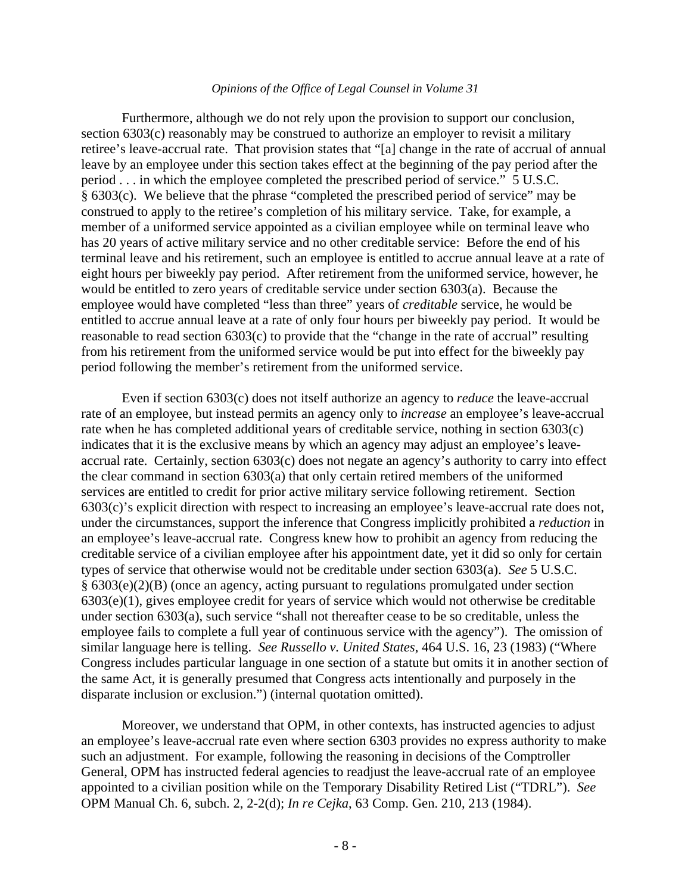Furthermore, although we do not rely upon the provision to support our conclusion, section 6303(c) reasonably may be construed to authorize an employer to revisit a military retiree's leave-accrual rate. That provision states that "[a] change in the rate of accrual of annual leave by an employee under this section takes effect at the beginning of the pay period after the period . . . in which the employee completed the prescribed period of service." 5 U.S.C. § 6303(c). We believe that the phrase "completed the prescribed period of service" may be construed to apply to the retiree's completion of his military service. Take, for example, a member of a uniformed service appointed as a civilian employee while on terminal leave who has 20 years of active military service and no other creditable service: Before the end of his terminal leave and his retirement, such an employee is entitled to accrue annual leave at a rate of eight hours per biweekly pay period. After retirement from the uniformed service, however, he would be entitled to zero years of creditable service under section 6303(a). Because the employee would have completed "less than three" years of *creditable* service, he would be entitled to accrue annual leave at a rate of only four hours per biweekly pay period. It would be reasonable to read section 6303(c) to provide that the "change in the rate of accrual" resulting from his retirement from the uniformed service would be put into effect for the biweekly pay period following the member's retirement from the uniformed service.

Even if section 6303(c) does not itself authorize an agency to *reduce* the leave-accrual rate of an employee, but instead permits an agency only to *increase* an employee's leave-accrual rate when he has completed additional years of creditable service, nothing in section 6303(c) indicates that it is the exclusive means by which an agency may adjust an employee's leaveaccrual rate. Certainly, section 6303(c) does not negate an agency's authority to carry into effect the clear command in section 6303(a) that only certain retired members of the uniformed services are entitled to credit for prior active military service following retirement. Section 6303(c)'s explicit direction with respect to increasing an employee's leave-accrual rate does not, under the circumstances, support the inference that Congress implicitly prohibited a *reduction* in an employee's leave-accrual rate. Congress knew how to prohibit an agency from reducing the creditable service of a civilian employee after his appointment date, yet it did so only for certain types of service that otherwise would not be creditable under section 6303(a). *See* 5 U.S.C. § 6303(e)(2)(B) (once an agency, acting pursuant to regulations promulgated under section 6303(e)(1), gives employee credit for years of service which would not otherwise be creditable under section 6303(a), such service "shall not thereafter cease to be so creditable, unless the employee fails to complete a full year of continuous service with the agency"). The omission of similar language here is telling. *See Russello v. United States*, 464 U.S. 16, 23 (1983) ("Where Congress includes particular language in one section of a statute but omits it in another section of the same Act, it is generally presumed that Congress acts intentionally and purposely in the disparate inclusion or exclusion.") (internal quotation omitted).

Moreover, we understand that OPM, in other contexts, has instructed agencies to adjust an employee's leave-accrual rate even where section 6303 provides no express authority to make such an adjustment. For example, following the reasoning in decisions of the Comptroller General, OPM has instructed federal agencies to readjust the leave-accrual rate of an employee appointed to a civilian position while on the Temporary Disability Retired List ("TDRL"). *See*  OPM Manual Ch. 6, subch. 2, 2-2(d); *In re Cejka*, 63 Comp. Gen. 210, 213 (1984).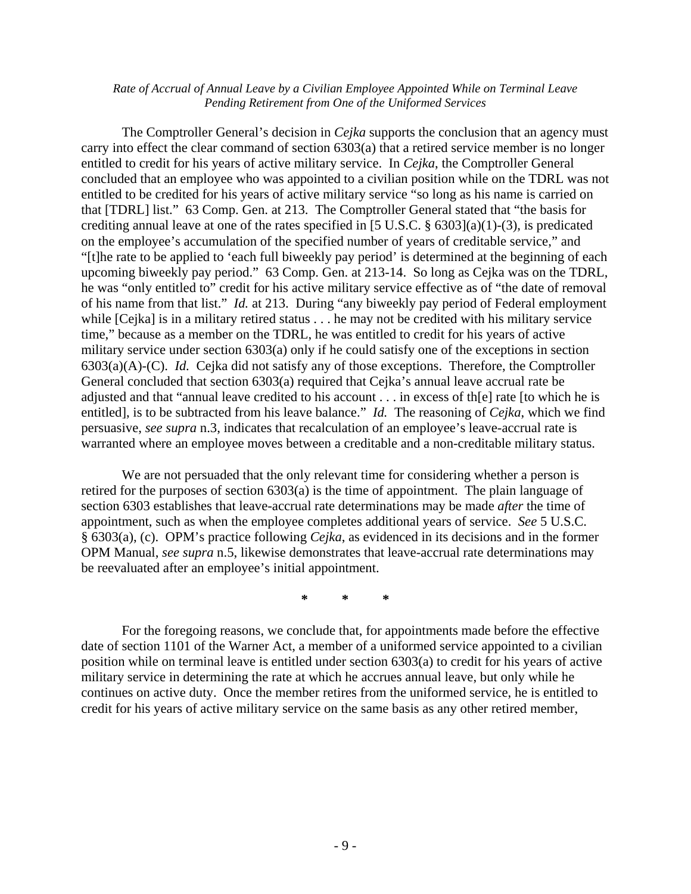The Comptroller General's decision in *Cejka* supports the conclusion that an agency must carry into effect the clear command of section 6303(a) that a retired service member is no longer entitled to credit for his years of active military service. In *Cejka*, the Comptroller General concluded that an employee who was appointed to a civilian position while on the TDRL was not entitled to be credited for his years of active military service "so long as his name is carried on that [TDRL] list." 63 Comp. Gen. at 213. The Comptroller General stated that "the basis for crediting annual leave at one of the rates specified in [5 U.S.C. § 6303](a)(1)-(3), is predicated on the employee's accumulation of the specified number of years of creditable service," and "[t]he rate to be applied to 'each full biweekly pay period' is determined at the beginning of each upcoming biweekly pay period." 63 Comp. Gen. at 213-14. So long as Cejka was on the TDRL, he was "only entitled to" credit for his active military service effective as of "the date of removal of his name from that list." *Id.* at 213. During "any biweekly pay period of Federal employment while [Cejka] is in a military retired status . . . he may not be credited with his military service time," because as a member on the TDRL, he was entitled to credit for his years of active military service under section 6303(a) only if he could satisfy one of the exceptions in section 6303(a)(A)-(C). *Id.* Cejka did not satisfy any of those exceptions. Therefore, the Comptroller General concluded that section 6303(a) required that Cejka's annual leave accrual rate be adjusted and that "annual leave credited to his account . . . in excess of th[e] rate [to which he is entitled], is to be subtracted from his leave balance." *Id.* The reasoning of *Cejka*, which we find persuasive, *see supra* n.3, indicates that recalculation of an employee's leave-accrual rate is warranted where an employee moves between a creditable and a non-creditable military status.

We are not persuaded that the only relevant time for considering whether a person is retired for the purposes of section 6303(a) is the time of appointment. The plain language of section 6303 establishes that leave-accrual rate determinations may be made *after* the time of appointment, such as when the employee completes additional years of service. *See* 5 U.S.C. § 6303(a), (c). OPM's practice following *Cejka*, as evidenced in its decisions and in the former OPM Manual, *see supra* n.5, likewise demonstrates that leave-accrual rate determinations may be reevaluated after an employee's initial appointment.

**\* \* \*** 

For the foregoing reasons, we conclude that, for appointments made before the effective date of section 1101 of the Warner Act, a member of a uniformed service appointed to a civilian position while on terminal leave is entitled under section 6303(a) to credit for his years of active military service in determining the rate at which he accrues annual leave, but only while he continues on active duty. Once the member retires from the uniformed service, he is entitled to credit for his years of active military service on the same basis as any other retired member,